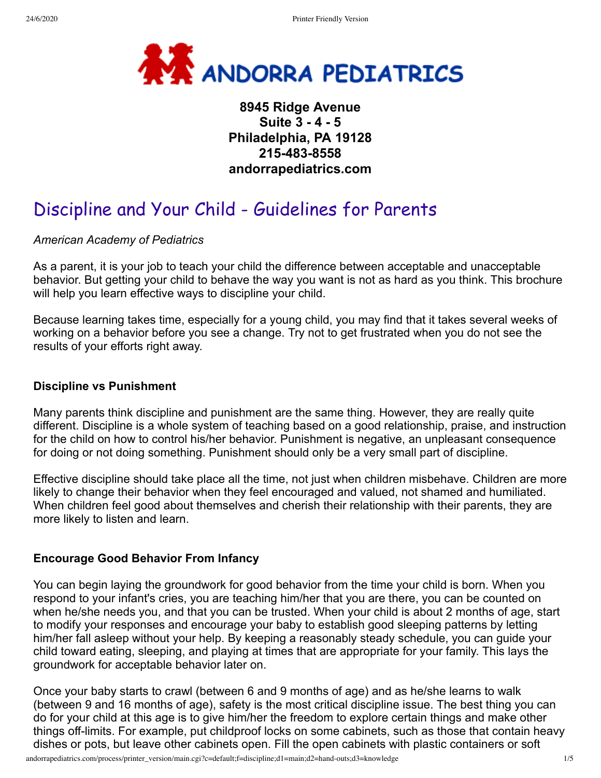

# **8945 Ridge Avenue Suite 3 - 4 - 5 Philadelphia, PA 19128 215-483-8558 andorrapediatrics.com**

# Discipline and Your Child - Guidelines for Parents

*American Academy of Pediatrics*

As a parent, it is your job to teach your child the difference between acceptable and unacceptable behavior. But getting your child to behave the way you want is not as hard as you think. This brochure will help you learn effective ways to discipline your child.

Because learning takes time, especially for a young child, you may find that it takes several weeks of working on a behavior before you see a change. Try not to get frustrated when you do not see the results of your efforts right away.

#### **Discipline vs Punishment**

Many parents think discipline and punishment are the same thing. However, they are really quite different. Discipline is a whole system of teaching based on a good relationship, praise, and instruction for the child on how to control his/her behavior. Punishment is negative, an unpleasant consequence for doing or not doing something. Punishment should only be a very small part of discipline.

Effective discipline should take place all the time, not just when children misbehave. Children are more likely to change their behavior when they feel encouraged and valued, not shamed and humiliated. When children feel good about themselves and cherish their relationship with their parents, they are more likely to listen and learn.

#### **Encourage Good Behavior From Infancy**

You can begin laying the groundwork for good behavior from the time your child is born. When you respond to your infant's cries, you are teaching him/her that you are there, you can be counted on when he/she needs you, and that you can be trusted. When your child is about 2 months of age, start to modify your responses and encourage your baby to establish good sleeping patterns by letting him/her fall asleep without your help. By keeping a reasonably steady schedule, you can guide your child toward eating, sleeping, and playing at times that are appropriate for your family. This lays the groundwork for acceptable behavior later on.

Once your baby starts to crawl (between 6 and 9 months of age) and as he/she learns to walk (between 9 and 16 months of age), safety is the most critical discipline issue. The best thing you can do for your child at this age is to give him/her the freedom to explore certain things and make other things off-limits. For example, put childproof locks on some cabinets, such as those that contain heavy dishes or pots, but leave other cabinets open. Fill the open cabinets with plastic containers or soft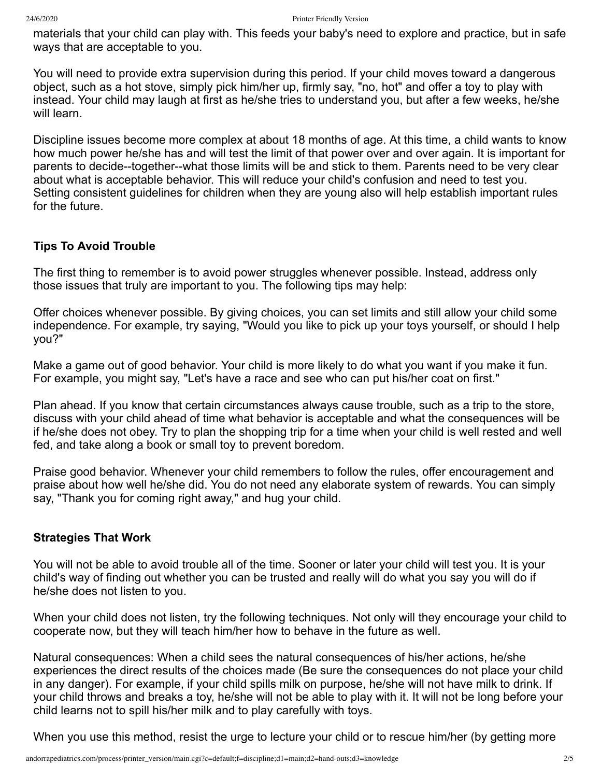materials that your child can play with. This feeds your baby's need to explore and practice, but in safe ways that are acceptable to you.

You will need to provide extra supervision during this period. If your child moves toward a dangerous object, such as a hot stove, simply pick him/her up, firmly say, "no, hot" and offer a toy to play with instead. Your child may laugh at first as he/she tries to understand you, but after a few weeks, he/she will learn.

Discipline issues become more complex at about 18 months of age. At this time, a child wants to know how much power he/she has and will test the limit of that power over and over again. It is important for parents to decide--together--what those limits will be and stick to them. Parents need to be very clear about what is acceptable behavior. This will reduce your child's confusion and need to test you. Setting consistent guidelines for children when they are young also will help establish important rules for the future.

### **Tips To Avoid Trouble**

The first thing to remember is to avoid power struggles whenever possible. Instead, address only those issues that truly are important to you. The following tips may help:

Offer choices whenever possible. By giving choices, you can set limits and still allow your child some independence. For example, try saying, "Would you like to pick up your toys yourself, or should I help you?"

Make a game out of good behavior. Your child is more likely to do what you want if you make it fun. For example, you might say, "Let's have a race and see who can put his/her coat on first."

Plan ahead. If you know that certain circumstances always cause trouble, such as a trip to the store, discuss with your child ahead of time what behavior is acceptable and what the consequences will be if he/she does not obey. Try to plan the shopping trip for a time when your child is well rested and well fed, and take along a book or small toy to prevent boredom.

Praise good behavior. Whenever your child remembers to follow the rules, offer encouragement and praise about how well he/she did. You do not need any elaborate system of rewards. You can simply say, "Thank you for coming right away," and hug your child.

#### **Strategies That Work**

You will not be able to avoid trouble all of the time. Sooner or later your child will test you. It is your child's way of finding out whether you can be trusted and really will do what you say you will do if he/she does not listen to you.

When your child does not listen, try the following techniques. Not only will they encourage your child to cooperate now, but they will teach him/her how to behave in the future as well.

Natural consequences: When a child sees the natural consequences of his/her actions, he/she experiences the direct results of the choices made (Be sure the consequences do not place your child in any danger). For example, if your child spills milk on purpose, he/she will not have milk to drink. If your child throws and breaks a toy, he/she will not be able to play with it. It will not be long before your child learns not to spill his/her milk and to play carefully with toys.

When you use this method, resist the urge to lecture your child or to rescue him/her (by getting more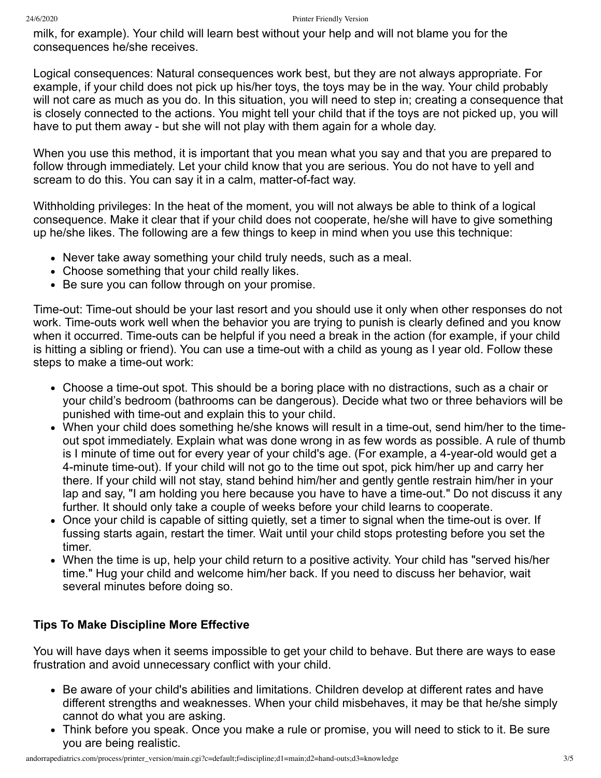milk, for example). Your child will learn best without your help and will not blame you for the consequences he/she receives.

Logical consequences: Natural consequences work best, but they are not always appropriate. For example, if your child does not pick up his/her toys, the toys may be in the way. Your child probably will not care as much as you do. In this situation, you will need to step in; creating a consequence that is closely connected to the actions. You might tell your child that if the toys are not picked up, you will have to put them away - but she will not play with them again for a whole day.

When you use this method, it is important that you mean what you say and that you are prepared to follow through immediately. Let your child know that you are serious. You do not have to yell and scream to do this. You can say it in a calm, matter-of-fact way.

Withholding privileges: In the heat of the moment, you will not always be able to think of a logical consequence. Make it clear that if your child does not cooperate, he/she will have to give something up he/she likes. The following are a few things to keep in mind when you use this technique:

- Never take away something your child truly needs, such as a meal.
- Choose something that your child really likes.
- Be sure you can follow through on your promise.

Time-out: Time-out should be your last resort and you should use it only when other responses do not work. Time-outs work well when the behavior you are trying to punish is clearly defined and you know when it occurred. Time-outs can be helpful if you need a break in the action (for example, if your child is hitting a sibling or friend). You can use a time-out with a child as young as I year old. Follow these steps to make a time-out work:

- Choose a time-out spot. This should be a boring place with no distractions, such as a chair or your child's bedroom (bathrooms can be dangerous). Decide what two or three behaviors will be punished with time-out and explain this to your child.
- When your child does something he/she knows will result in a time-out, send him/her to the timeout spot immediately. Explain what was done wrong in as few words as possible. A rule of thumb is I minute of time out for every year of your child's age. (For example, a 4-year-old would get a 4-minute time-out). If your child will not go to the time out spot, pick him/her up and carry her there. If your child will not stay, stand behind him/her and gently gentle restrain him/her in your lap and say, "I am holding you here because you have to have a time-out." Do not discuss it any further. It should only take a couple of weeks before your child learns to cooperate.
- Once your child is capable of sitting quietly, set a timer to signal when the time-out is over. If fussing starts again, restart the timer. Wait until your child stops protesting before you set the timer.
- When the time is up, help your child return to a positive activity. Your child has "served his/her time." Hug your child and welcome him/her back. If you need to discuss her behavior, wait several minutes before doing so.

#### **Tips To Make Discipline More Effective**

You will have days when it seems impossible to get your child to behave. But there are ways to ease frustration and avoid unnecessary conflict with your child.

- Be aware of your child's abilities and limitations. Children develop at different rates and have different strengths and weaknesses. When your child misbehaves, it may be that he/she simply cannot do what you are asking.
- Think before you speak. Once you make a rule or promise, you will need to stick to it. Be sure you are being realistic.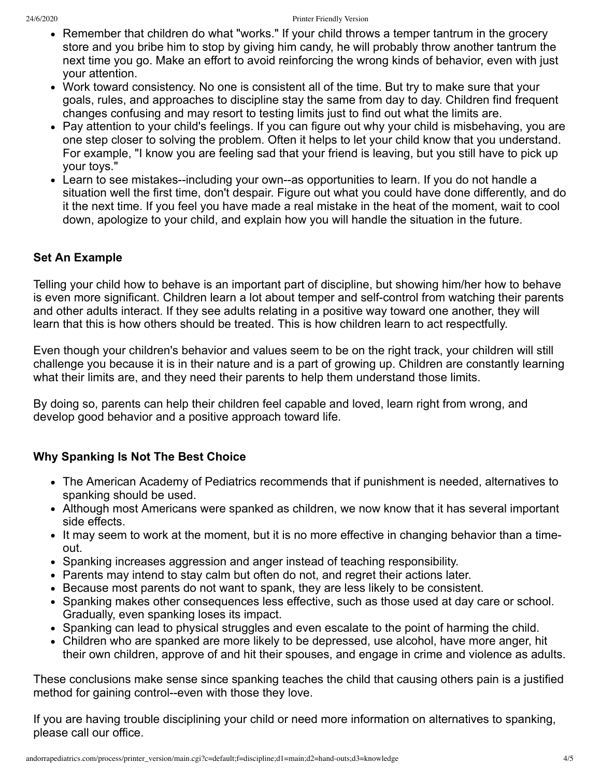- Remember that children do what "works." If your child throws a temper tantrum in the grocery store and you bribe him to stop by giving him candy, he will probably throw another tantrum the next time you go. Make an effort to avoid reinforcing the wrong kinds of behavior, even with just your attention.
- Work toward consistency. No one is consistent all of the time. But try to make sure that your goals, rules, and approaches to discipline stay the same from day to day. Children find frequent changes confusing and may resort to testing limits just to find out what the limits are.
- Pay attention to your child's feelings. If you can figure out why your child is misbehaving, you are one step closer to solving the problem. Often it helps to let your child know that you understand. For example, "I know you are feeling sad that your friend is leaving, but you still have to pick up your toys."
- Learn to see mistakes--including your own--as opportunities to learn. If you do not handle a situation well the first time, don't despair. Figure out what you could have done differently, and do it the next time. If you feel you have made a real mistake in the heat of the moment, wait to cool down, apologize to your child, and explain how you will handle the situation in the future.

# **Set An Example**

Telling your child how to behave is an important part of discipline, but showing him/her how to behave is even more significant. Children learn a lot about temper and self-control from watching their parents and other adults interact. If they see adults relating in a positive way toward one another, they will learn that this is how others should be treated. This is how children learn to act respectfully.

Even though your children's behavior and values seem to be on the right track, your children will still challenge you because it is in their nature and is a part of growing up. Children are constantly learning what their limits are, and they need their parents to help them understand those limits.

By doing so, parents can help their children feel capable and loved, learn right from wrong, and develop good behavior and a positive approach toward life.

# **Why Spanking Is Not The Best Choice**

- The American Academy of Pediatrics recommends that if punishment is needed, alternatives to spanking should be used.
- Although most Americans were spanked as children, we now know that it has several important side effects.
- It may seem to work at the moment, but it is no more effective in changing behavior than a timeout.
- Spanking increases aggression and anger instead of teaching responsibility.
- Parents may intend to stay calm but often do not, and regret their actions later.
- Because most parents do not want to spank, they are less likely to be consistent.
- Spanking makes other consequences less effective, such as those used at day care or school. Gradually, even spanking loses its impact.
- Spanking can lead to physical struggles and even escalate to the point of harming the child.
- Children who are spanked are more likely to be depressed, use alcohol, have more anger, hit their own children, approve of and hit their spouses, and engage in crime and violence as adults.

These conclusions make sense since spanking teaches the child that causing others pain is a justified method for gaining control--even with those they love.

If you are having trouble disciplining your child or need more information on alternatives to spanking, please call our office.